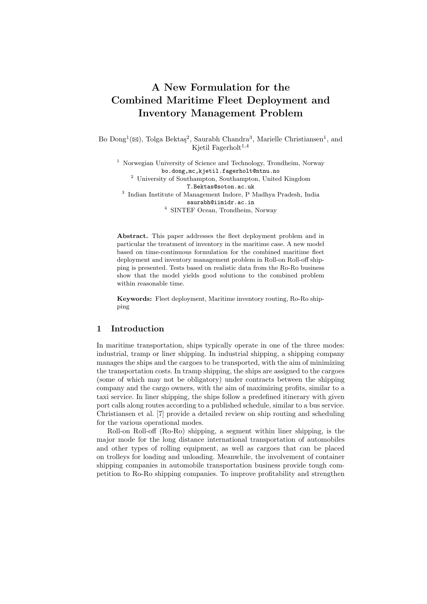# A New Formulation for the Combined Maritime Fleet Deployment and Inventory Management Problem

Bo Dong<sup>1</sup>( $\boxtimes$ ), Tolga Bektaş<sup>2</sup>, Saurabh Chandra<sup>3</sup>, Marielle Christiansen<sup>1</sup>, and Kjetil Fagerholt<sup>1,4</sup>

<sup>1</sup> Norwegian University of Science and Technology, Trondheim, Norway bo.dong,mc,kjetil.fagerholt@ntnu.no

<sup>2</sup> University of Southampton, Southampton, United Kingdom T.Bektas@soton.ac.uk

3 Indian Institute of Management Indore, P Madhya Pradesh, India saurabh@iimidr.ac.in

<sup>4</sup> SINTEF Ocean, Trondheim, Norway

Abstract. This paper addresses the fleet deployment problem and in particular the treatment of inventory in the maritime case. A new model based on time-continuous formulation for the combined maritime fleet deployment and inventory management problem in Roll-on Roll-off shipping is presented. Tests based on realistic data from the Ro-Ro business show that the model yields good solutions to the combined problem within reasonable time.

Keywords: Fleet deployment, Maritime inventory routing, Ro-Ro shipping

# 1 Introduction

In maritime transportation, ships typically operate in one of the three modes: industrial, tramp or liner shipping. In industrial shipping, a shipping company manages the ships and the cargoes to be transported, with the aim of minimizing the transportation costs. In tramp shipping, the ships are assigned to the cargoes (some of which may not be obligatory) under contracts between the shipping company and the cargo owners, with the aim of maximizing profits, similar to a taxi service. In liner shipping, the ships follow a predefined itinerary with given port calls along routes according to a published schedule, similar to a bus service. Christiansen et al. [7] provide a detailed review on ship routing and scheduling for the various operational modes.

Roll-on Roll-off (Ro-Ro) shipping, a segment within liner shipping, is the major mode for the long distance international transportation of automobiles and other types of rolling equipment, as well as cargoes that can be placed on trolleys for loading and unloading. Meanwhile, the involvement of container shipping companies in automobile transportation business provide tough competition to Ro-Ro shipping companies. To improve profitability and strengthen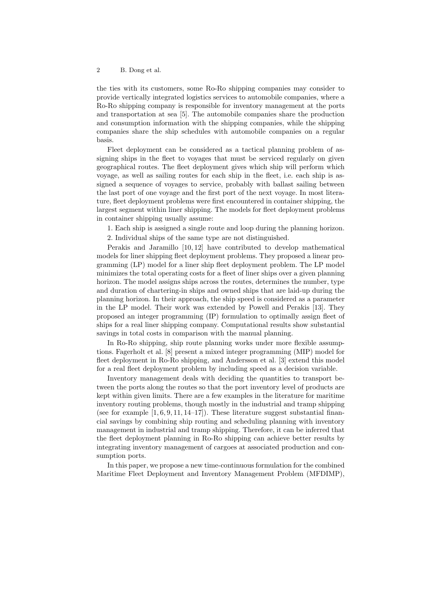the ties with its customers, some Ro-Ro shipping companies may consider to provide vertically integrated logistics services to automobile companies, where a Ro-Ro shipping company is responsible for inventory management at the ports and transportation at sea [5]. The automobile companies share the production and consumption information with the shipping companies, while the shipping companies share the ship schedules with automobile companies on a regular basis.

Fleet deployment can be considered as a tactical planning problem of assigning ships in the fleet to voyages that must be serviced regularly on given geographical routes. The fleet deployment gives which ship will perform which voyage, as well as sailing routes for each ship in the fleet, i.e. each ship is assigned a sequence of voyages to service, probably with ballast sailing between the last port of one voyage and the first port of the next voyage. In most literature, fleet deployment problems were first encountered in container shipping, the largest segment within liner shipping. The models for fleet deployment problems in container shipping usually assume:

1. Each ship is assigned a single route and loop during the planning horizon.

2. Individual ships of the same type are not distinguished.

Perakis and Jaramillo [10, 12] have contributed to develop mathematical models for liner shipping fleet deployment problems. They proposed a linear programming (LP) model for a liner ship fleet deployment problem. The LP model minimizes the total operating costs for a fleet of liner ships over a given planning horizon. The model assigns ships across the routes, determines the number, type and duration of chartering-in ships and owned ships that are laid-up during the planning horizon. In their approach, the ship speed is considered as a parameter in the LP model. Their work was extended by Powell and Perakis [13]. They proposed an integer programming (IP) formulation to optimally assign fleet of ships for a real liner shipping company. Computational results show substantial savings in total costs in comparison with the manual planning.

In Ro-Ro shipping, ship route planning works under more flexible assumptions. Fagerholt et al. [8] present a mixed integer programming (MIP) model for fleet deployment in Ro-Ro shipping, and Andersson et al. [3] extend this model for a real fleet deployment problem by including speed as a decision variable.

Inventory management deals with deciding the quantities to transport between the ports along the routes so that the port inventory level of products are kept within given limits. There are a few examples in the literature for maritime inventory routing problems, though mostly in the industrial and tramp shipping (see for example  $[1, 6, 9, 11, 14-17]$ ). These literature suggest substantial financial savings by combining ship routing and scheduling planning with inventory management in industrial and tramp shipping. Therefore, it can be inferred that the fleet deployment planning in Ro-Ro shipping can achieve better results by integrating inventory management of cargoes at associated production and consumption ports.

In this paper, we propose a new time-continuous formulation for the combined Maritime Fleet Deployment and Inventory Management Problem (MFDIMP),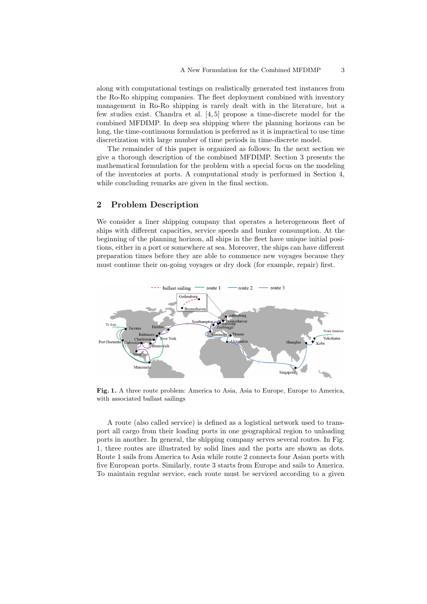along with computational testings on realistically generated test instances from the Ro-Ro shipping companies. The fleet deployment combined with inventory management in Ro-Ro shipping is rarely dealt with in the literature, but a few studies exist. Chandra et al. [4, 5] propose a time-discrete model for the combined MFDIMP. In deep sea shipping where the planning horizons can be long, the time-continuous formulation is preferred as it is impractical to use time discretization with large number of time periods in time-discrete model.

The remainder of this paper is organized as follows: In the next section we give a thorough description of the combined MFDIMP. Section 3 presents the mathematical formulation for the problem with a special focus on the modeling of the inventories at ports. A computational study is performed in Section 4, while concluding remarks are given in the final section.

#### 2 Problem Description

We consider a liner shipping company that operates a heterogeneous fleet of ships with different capacities, service speeds and bunker consumption. At the beginning of the planning horizon, all ships in the fleet have unique initial positions, either in a port or somewhere at sea. Moreover, the ships can have different preparation times before they are able to commence new voyages because they must continue their on-going voyages or dry dock (for example, repair) first.



Fig. 1. A three route problem: America to Asia, Asia to Europe, Europe to America, with associated ballast sailings

A route (also called service) is defined as a logistical network used to transport all cargo from their loading ports in one geographical region to unloading ports in another. In general, the shipping company serves several routes. In Fig. 1, three routes are illustrated by solid lines and the ports are shown as dots. Route 1 sails from America to Asia while route 2 connects four Asian ports with five European ports. Similarly, route 3 starts from Europe and sails to America. To maintain regular service, each route must be serviced according to a given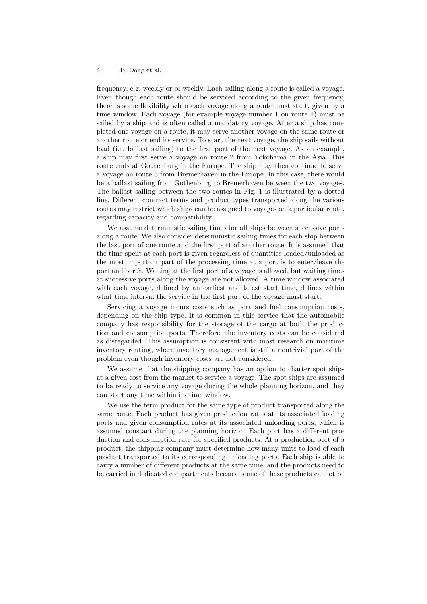frequency, e.g. weekly or bi-weekly. Each sailing along a route is called a voyage. Even though each route should be serviced according to the given frequency, there is some flexibility when each voyage along a route must start, given by a time window. Each voyage (for example voyage number 1 on route 1) must be sailed by a ship and is often called a mandatory voyage. After a ship has completed one voyage on a route, it may serve another voyage on the same route or another route or end its service. To start the next voyage, the ship sails without load (i.e. ballast sailing) to the first port of the next voyage. As an example, a ship may first serve a voyage on route 2 from Yokohama in the Asia. This route ends at Gothenburg in the Europe. The ship may then continue to serve a voyage on route 3 from Bremerhaven in the Europe. In this case, there would be a ballast sailing from Gothenburg to Bremerhaven between the two voyages. The ballast sailing between the two routes in Fig. 1 is illustrated by a dotted line. Different contract terms and product types transported along the various routes may restrict which ships can be assigned to voyages on a particular route, regarding capacity and compatibility.

We assume deterministic sailing times for all ships between successive ports along a route. We also consider deterministic sailing times for each ship between the last port of one route and the first port of another route. It is assumed that the time spent at each port is given regardless of quantities loaded/unloaded as the most important part of the processing time at a port is to enter/leave the port and berth. Waiting at the first port of a voyage is allowed, but waiting times at successive ports along the voyage are not allowed. A time window associated with each voyage, defined by an earliest and latest start time, defines within what time interval the service in the first port of the voyage must start.

Servicing a voyage incurs costs such as port and fuel consumption costs, depending on the ship type. It is common in this service that the automobile company has responsibility for the storage of the cargo at both the production and consumption ports. Therefore, the inventory costs can be considered as disregarded. This assumption is consistent with most research on maritime inventory routing, where inventory management is still a nontrivial part of the problem even though inventory costs are not considered.

We assume that the shipping company has an option to charter spot ships at a given cost from the market to service a voyage. The spot ships are assumed to be ready to service any voyage during the whole planning horizon, and they can start any time within its time window.

We use the term product for the same type of product transported along the same route. Each product has given production rates at its associated loading ports and given consumption rates at its associated unloading ports, which is assumed constant during the planning horizon. Each port has a different production and consumption rate for specified products. At a production port of a product, the shipping company must determine how many units to load of each product transported to its corresponding unloading ports. Each ship is able to carry a number of different products at the same time, and the products need to be carried in dedicated compartments because some of these products cannot be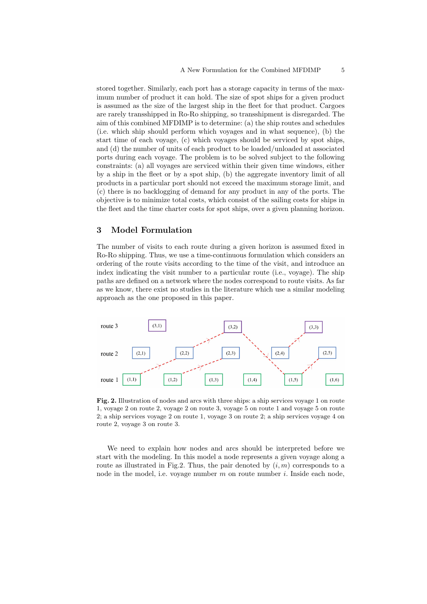stored together. Similarly, each port has a storage capacity in terms of the maximum number of product it can hold. The size of spot ships for a given product is assumed as the size of the largest ship in the fleet for that product. Cargoes are rarely transshipped in Ro-Ro shipping, so transshipment is disregarded. The aim of this combined MFDIMP is to determine: (a) the ship routes and schedules (i.e. which ship should perform which voyages and in what sequence), (b) the start time of each voyage, (c) which voyages should be serviced by spot ships, and (d) the number of units of each product to be loaded/unloaded at associated ports during each voyage. The problem is to be solved subject to the following constraints: (a) all voyages are serviced within their given time windows, either by a ship in the fleet or by a spot ship, (b) the aggregate inventory limit of all products in a particular port should not exceed the maximum storage limit, and (c) there is no backlogging of demand for any product in any of the ports. The objective is to minimize total costs, which consist of the sailing costs for ships in the fleet and the time charter costs for spot ships, over a given planning horizon.

#### 3 Model Formulation

The number of visits to each route during a given horizon is assumed fixed in Ro-Ro shipping. Thus, we use a time-continuous formulation which considers an ordering of the route visits according to the time of the visit, and introduce an index indicating the visit number to a particular route (i.e., voyage). The ship paths are defined on a network where the nodes correspond to route visits. As far as we know, there exist no studies in the literature which use a similar modeling approach as the one proposed in this paper.



Fig. 2. Illustration of nodes and arcs with three ships: a ship services voyage 1 on route 1, voyage 2 on route 2, voyage 2 on route 3, voyage 5 on route 1 and voyage 5 on route 2; a ship services voyage 2 on route 1, voyage 3 on route 2; a ship services voyage 4 on route 2, voyage 3 on route 3.

We need to explain how nodes and arcs should be interpreted before we start with the modeling. In this model a node represents a given voyage along a route as illustrated in Fig.2. Thus, the pair denoted by  $(i, m)$  corresponds to a node in the model, i.e. voyage number  $m$  on route number  $i$ . Inside each node,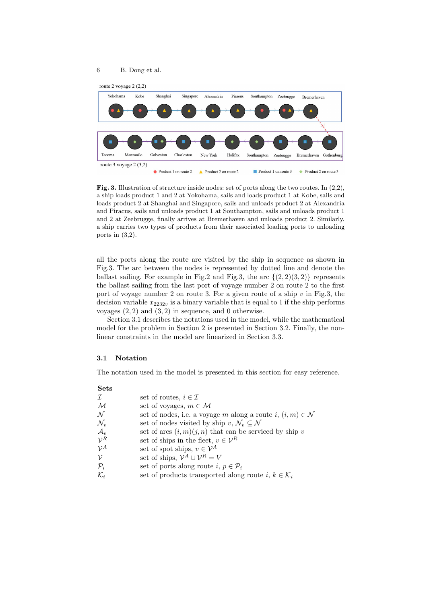

**Fig. 3.** Illustration of structure inside nodes: set of ports along the two routes. In  $(2,2)$ , a ship loads product 1 and 2 at Yokohama, sails and loads product 1 at Kobe, sails and loads product 2 at Shanghai and Singapore, sails and unloads product 2 at Alexandria and Piracus, sails and unloads product 1 at Southampton, sails and unloads product 1 and 2 at Zeebrugge, finally arrives at Bremerhaven and unloads product 2. Similarly, a ship carries two types of products from their associated loading ports to unloading ports in (3,2).

all the ports along the route are visited by the ship in sequence as shown in Fig.3. The arc between the nodes is represented by dotted line and denote the ballast sailing. For example in Fig.2 and Fig.3, the arc  $\{(2, 2)(3, 2)\}$  represents the ballast sailing from the last port of voyage number 2 on route 2 to the first port of voyage number 2 on route 3. For a given route of a ship  $v$  in Fig.3, the decision variable  $x_{2232v}$  is a binary variable that is equal to 1 if the ship performs voyages  $(2, 2)$  and  $(3, 2)$  in sequence, and 0 otherwise.

Section 3.1 describes the notations used in the model, while the mathematical model for the problem in Section 2 is presented in Section 3.2. Finally, the nonlinear constraints in the model are linearized in Section 3.3.

#### 3.1 Notation

The notation used in the model is presented in this section for easy reference.

| set of routes, $i \in \mathcal{I}$                                      |
|-------------------------------------------------------------------------|
| set of voyages, $m \in \mathcal{M}$                                     |
| set of nodes, i.e. a voyage m along a route i, $(i, m) \in \mathcal{N}$ |
| set of nodes visited by ship v, $\mathcal{N}_v \subseteq \mathcal{N}$   |
| set of arcs $(i, m)(j, n)$ that can be serviced by ship v               |
| set of ships in the fleet, $v \in \mathcal{V}^R$                        |
| set of spot ships, $v \in \mathcal{V}^A$                                |
| set of ships, $\mathcal{V}^A \cup \mathcal{V}^R = V$                    |
| set of ports along route i, $p \in \mathcal{P}_i$                       |
| set of products transported along route i, $k \in \mathcal{K}_i$        |
|                                                                         |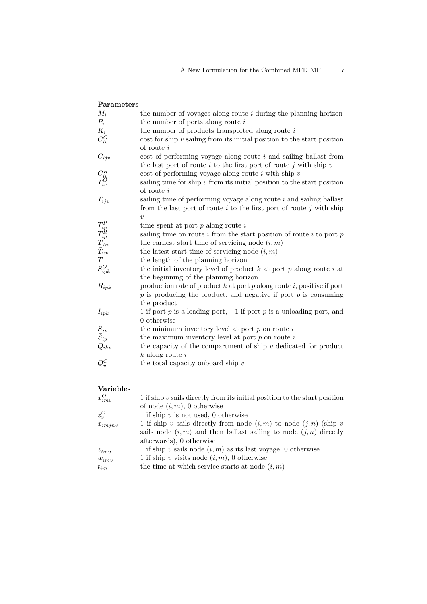| Parameters                                                                                              |                                                                                                                                             |
|---------------------------------------------------------------------------------------------------------|---------------------------------------------------------------------------------------------------------------------------------------------|
| $M_i$                                                                                                   | the number of voyages along route $i$ during the planning horizon                                                                           |
| $P_i$                                                                                                   | the number of ports along route $i$                                                                                                         |
| $K_i$                                                                                                   | the number of products transported along route $i$                                                                                          |
| $\dot{C_{iv}^{O}}$                                                                                      | $\cos t$ for ship $v$ sailing from its initial position to the start position                                                               |
|                                                                                                         | of route $i$                                                                                                                                |
| $C_{ijv}$                                                                                               | $\cos t$ of performing voyage along route i and sailing ballast from<br>the last port of route i to the first port of route j with ship $v$ |
|                                                                                                         | cost of performing voyage along route $i$ with ship $v$                                                                                     |
| $C^R_{iv} \ T^O_{iv}$                                                                                   | sailing time for ship $v$ from its initial position to the start position                                                                   |
|                                                                                                         | of route $i$                                                                                                                                |
| $T_{ijv}$                                                                                               | sailing time of performing voyage along route $i$ and sailing ballast                                                                       |
|                                                                                                         | from the last port of route $i$ to the first port of route $j$ with ship                                                                    |
|                                                                                                         | $\boldsymbol{v}$                                                                                                                            |
|                                                                                                         | time spent at port $p$ along route $i$                                                                                                      |
|                                                                                                         | sailing time on route $i$ from the start position of route $i$ to port $p$                                                                  |
| $\begin{array}{c} T_{ip}^P\\ T_{ip}^R\\ \overline T_{im}^{\phantom{im}}\\ \overline T_{im} \end{array}$ | the earliest start time of servicing node $(i, m)$                                                                                          |
|                                                                                                         | the latest start time of servicing node $(i, m)$                                                                                            |
| T                                                                                                       | the length of the planning horizon                                                                                                          |
| $S^O_{ipk}$                                                                                             | the initial inventory level of product $k$ at port $p$ along route $i$ at<br>the beginning of the planning horizon                          |
| $R_{ipk}$                                                                                               | production rate of product $k$ at port $p$ along route $i$ , positive if port                                                               |
|                                                                                                         | $p$ is producing the product, and negative if port $p$ is consuming                                                                         |
|                                                                                                         | the product                                                                                                                                 |
| $I_{ipk}$                                                                                               | 1 if port $p$ is a loading port, $-1$ if port $p$ is a unloading port, and                                                                  |
|                                                                                                         | 0 otherwise                                                                                                                                 |
| $\frac{S_{ip}}{\bar{S}_{ip}}$                                                                           | the minimum inventory level at port $p$ on route $i$                                                                                        |
|                                                                                                         | the maximum inventory level at port $p$ on route $i$                                                                                        |
| $\mathcal{Q}_{ikv}$                                                                                     | the capacity of the compartment of ship $v$ dedicated for product                                                                           |
|                                                                                                         | $k$ along route $i$                                                                                                                         |
| $Q_v^C$                                                                                                 | the total capacity onboard ship $v$                                                                                                         |
|                                                                                                         |                                                                                                                                             |

# Variables

| $x_{imv}^O$                    | 1 if ship $v$ sails directly from its initial position to the start position |
|--------------------------------|------------------------------------------------------------------------------|
| of node $(i, m)$ , 0 otherwise |                                                                              |
| $z_n^O$                        | 1 if ship $v$ is not used, 0 otherwise                                       |
| $x_{imjnv}$                    | 1 if ship v sails directly from node $(i, m)$ to node $(j, n)$ (ship v       |
|                                | sails node $(i, m)$ and then ballast sailing to node $(j, n)$ directly       |
| afterwards), 0 otherwise       |                                                                              |
| $z_{imv}$                      | 1 if ship v sails node $(i, m)$ as its last voyage, 0 otherwise              |
| $w_{imv}$                      | 1 if ship v visits node $(i, m)$ , 0 otherwise                               |
| $t_{im}$                       | the time at which service starts at node $(i, m)$                            |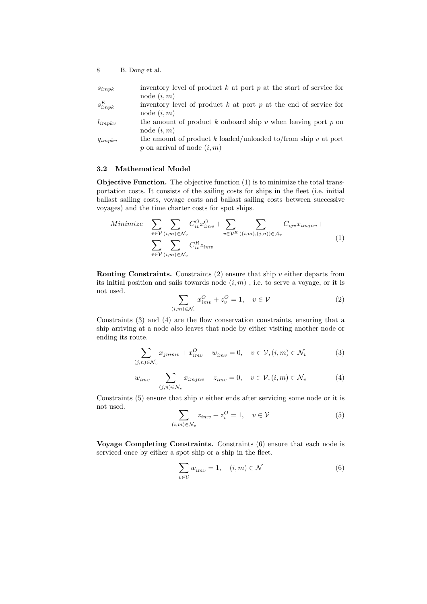| $s_{impk}$    | inventory level of product $k$ at port $p$ at the start of service for |
|---------------|------------------------------------------------------------------------|
|               | node $(i, m)$                                                          |
| $s_{implk}^E$ | inventory level of product $k$ at port $p$ at the end of service for   |
|               | node $(i, m)$                                                          |
| $l_{impkv}$   | the amount of product k onboard ship v when leaving port $p$ on        |
|               | node $(i, m)$                                                          |
| $q_{impkv}$   | the amount of product k loaded/unloaded to/from ship v at port         |
|               | p on arrival of node $(i, m)$                                          |
|               |                                                                        |

#### 3.2 Mathematical Model

Objective Function. The objective function (1) is to minimize the total transportation costs. It consists of the sailing costs for ships in the fleet (i.e. initial ballast sailing costs, voyage costs and ballast sailing costs between successive voyages) and the time charter costs for spot ships.

Minimize 
$$
\sum_{v \in \mathcal{V}} \sum_{(i,m) \in \mathcal{N}_v} C_{iv}^O x_{imv}^O + \sum_{v \in \mathcal{V}^R} \sum_{((i,m),(j,n)) \in \mathcal{A}_v} C_{ijv} x_{imjnv} + \sum_{v \in \mathcal{V}} \sum_{(i,m) \in \mathcal{N}_v} C_{iv}^R z_{imv}
$$
 (1)

Routing Constraints. Constraints  $(2)$  ensure that ship v either departs from its initial position and sails towards node  $(i, m)$ , i.e. to serve a voyage, or it is not used.

$$
\sum_{(i,m)\in\mathcal{N}_v} x_{imv}^O + z_v^O = 1, \quad v \in \mathcal{V}
$$
\n<sup>(2)</sup>

Constraints (3) and (4) are the flow conservation constraints, ensuring that a ship arriving at a node also leaves that node by either visiting another node or ending its route.

$$
\sum_{(j,n)\in\mathcal{N}_v} x_{jnimv} + x_{imv}^O - w_{imv} = 0, \quad v \in \mathcal{V}, (i,m) \in \mathcal{N}_v
$$
 (3)

$$
w_{imv} - \sum_{(j,n)\in\mathcal{N}_v} x_{imjnv} - z_{imv} = 0, \quad v \in \mathcal{V}, (i,m) \in \mathcal{N}_v
$$
 (4)

Constraints (5) ensure that ship  $v$  either ends after servicing some node or it is not used.

$$
\sum_{(i,m)\in\mathcal{N}_v} z_{imv} + z_v^O = 1, \quad v \in \mathcal{V}
$$
\n<sup>(5)</sup>

Voyage Completing Constraints. Constraints (6) ensure that each node is serviced once by either a spot ship or a ship in the fleet.

$$
\sum_{v \in \mathcal{V}} w_{imv} = 1, \quad (i, m) \in \mathcal{N}
$$
 (6)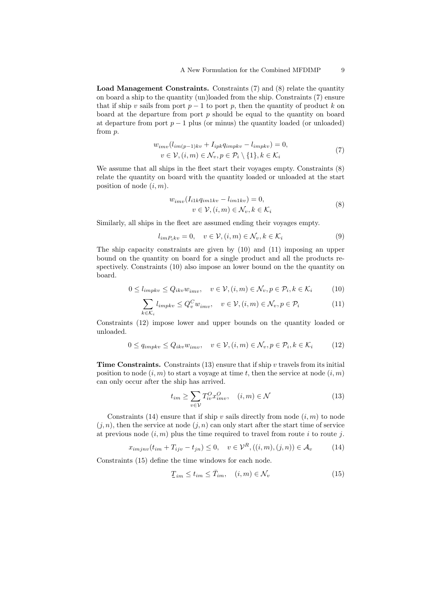Load Management Constraints. Constraints (7) and (8) relate the quantity on board a ship to the quantity (un)loaded from the ship. Constraints (7) ensure that if ship v sails from port  $p - 1$  to port p, then the quantity of product k on board at the departure from port  $p$  should be equal to the quantity on board at departure from port  $p-1$  plus (or minus) the quantity loaded (or unloaded) from p.

$$
w_{imv}(l_{im(p-1)kv} + I_{ipk}q_{impkv} - l_{impkv}) = 0,
$$
  
\n
$$
v \in \mathcal{V}, (i, m) \in \mathcal{N}_v, p \in \mathcal{P}_i \setminus \{1\}, k \in \mathcal{K}_i
$$
\n(7)

We assume that all ships in the fleet start their voyages empty. Constraints (8) relate the quantity on board with the quantity loaded or unloaded at the start position of node  $(i, m)$ .

$$
w_{imv}(I_{i1k}q_{im1kv} - l_{im1kv}) = 0,
$$
  

$$
v \in \mathcal{V}, (i, m) \in \mathcal{N}_v, k \in \mathcal{K}_i
$$
 (8)

Similarly, all ships in the fleet are assumed ending their voyages empty.

$$
l_{imP_ikv} = 0, \quad v \in \mathcal{V}, (i,m) \in \mathcal{N}_v, k \in \mathcal{K}_i
$$
\n
$$
(9)
$$

The ship capacity constraints are given by (10) and (11) imposing an upper bound on the quantity on board for a single product and all the products respectively. Constraints (10) also impose an lower bound on the the quantity on board.

$$
0 \leq l_{impkv} \leq Q_{ikv} w_{imv}, \quad v \in \mathcal{V}, (i, m) \in \mathcal{N}_v, p \in \mathcal{P}_i, k \in \mathcal{K}_i
$$
 (10)

$$
\sum_{k \in \mathcal{K}_i} l_{impkv} \le Q_v^C w_{imv}, \quad v \in \mathcal{V}, (i, m) \in \mathcal{N}_v, p \in \mathcal{P}_i
$$
\n(11)

Constraints (12) impose lower and upper bounds on the quantity loaded or unloaded.

$$
0 \le q_{impkv} \le Q_{ikv} w_{imv}, \quad v \in \mathcal{V}, (i,m) \in \mathcal{N}_v, p \in \mathcal{P}_i, k \in \mathcal{K}_i \tag{12}
$$

**Time Constraints.** Constraints (13) ensure that if ship  $v$  travels from its initial position to node  $(i, m)$  to start a voyage at time t, then the service at node  $(i, m)$ can only occur after the ship has arrived.

$$
t_{im} \ge \sum_{v \in V} T_{iv}^{O} x_{imv}^{O}, \quad (i, m) \in \mathcal{N}
$$
\n(13)

Constraints (14) ensure that if ship v sails directly from node  $(i, m)$  to node  $(j, n)$ , then the service at node  $(j, n)$  can only start after the start time of service at previous node  $(i, m)$  plus the time required to travel from route i to route j.

$$
x_{imjnv}(t_{im} + T_{ijv} - t_{jn}) \le 0, \quad v \in \mathcal{V}^R, ((i,m),(j,n)) \in \mathcal{A}_v \tag{14}
$$

Constraints (15) define the time windows for each node.

$$
\underline{T}_{im} \le t_{im} \le \bar{T}_{im}, \quad (i, m) \in \mathcal{N}_v \tag{15}
$$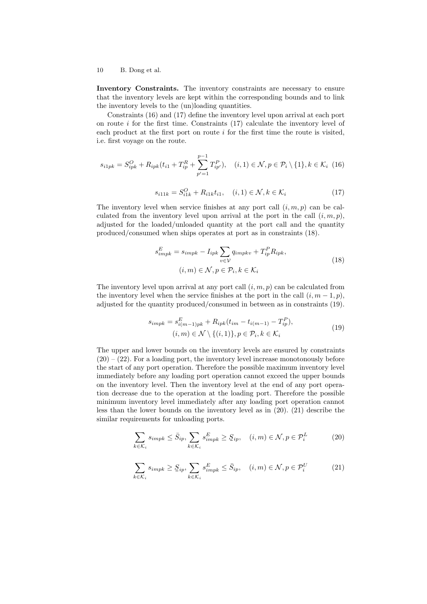Inventory Constraints. The inventory constraints are necessary to ensure that the inventory levels are kept within the corresponding bounds and to link the inventory levels to the (un)loading quantities.

Constraints (16) and (17) define the inventory level upon arrival at each port on route  $i$  for the first time. Constraints (17) calculate the inventory level of each product at the first port on route  $i$  for the first time the route is visited, i.e. first voyage on the route.

$$
s_{i1pk} = S_{ipk}^O + R_{ipk}(t_{i1} + T_{ip}^R + \sum_{p'=1}^{p-1} T_{ip'}^P), \quad (i, 1) \in \mathcal{N}, p \in \mathcal{P}_i \setminus \{1\}, k \in \mathcal{K}_i \tag{16}
$$

$$
s_{i11k} = S_{i1k}^O + R_{i1k}t_{i1}, \quad (i,1) \in \mathcal{N}, k \in \mathcal{K}_i
$$
 (17)

The inventory level when service finishes at any port call  $(i, m, p)$  can be calculated from the inventory level upon arrival at the port in the call  $(i, m, p)$ , adjusted for the loaded/unloaded quantity at the port call and the quantity produced/consumed when ships operates at port as in constraints (18).

$$
s_{impk}^{E} = s_{impk} - I_{ipk} \sum_{v \in V} q_{impkv} + T_{ip}^{P} R_{ipk},
$$
  
(*i*, *m*)  $\in \mathcal{N}, p \in \mathcal{P}_i, k \in \mathcal{K}_i$  (18)

The inventory level upon arrival at any port call  $(i, m, p)$  can be calculated from the inventory level when the service finishes at the port in the call  $(i, m-1, p)$ , adjusted for the quantity produced/consumed in between as in constraints (19).

$$
s_{impk} = s_{i(m-1)pk}^{E} + R_{ipk}(t_{im} - t_{i(m-1)} - T_{ip}^{P}),
$$
  
(*i*, *m*)  $\in \mathcal{N} \setminus \{(i, 1)\}, p \in \mathcal{P}_i, k \in \mathcal{K}_i$  (19)

The upper and lower bounds on the inventory levels are ensured by constraints  $(20) - (22)$ . For a loading port, the inventory level increase monotonously before the start of any port operation. Therefore the possible maximum inventory level immediately before any loading port operation cannot exceed the upper bounds on the inventory level. Then the inventory level at the end of any port operation decrease due to the operation at the loading port. Therefore the possible minimum inventory level immediately after any loading port operation cannot less than the lower bounds on the inventory level as in (20). (21) describe the similar requirements for unloading ports.

$$
\sum_{k \in \mathcal{K}_i} s_{impk} \le \bar{S}_{ip}, \sum_{k \in \mathcal{K}_i} s_{impk}^E \ge S_{ip}, \quad (i, m) \in \mathcal{N}, p \in \mathcal{P}_i^L
$$
 (20)

$$
\sum_{k \in \mathcal{K}_i} s_{impk} \ge S_{ip}, \sum_{k \in \mathcal{K}_i} s_{impk}^E \le \bar{S}_{ip}, \quad (i, m) \in \mathcal{N}, p \in \mathcal{P}_i^U \tag{21}
$$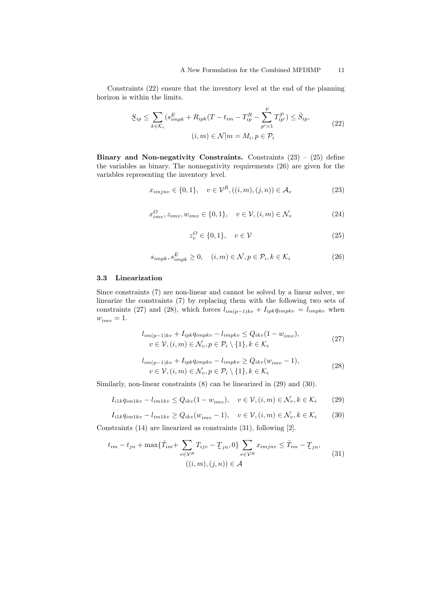Constraints (22) ensure that the inventory level at the end of the planning horizon is within the limits.

$$
S_{ip} \le \sum_{k \in \mathcal{K}_i} (s_{impk}^E + R_{ipk}(T - t_{im} - T_{ip}^R - \sum_{p'=1}^p T_{ip'}^P) \le \bar{S}_{ip},
$$
  

$$
(i, m) \in \mathcal{N}|m = M_i, p \in \mathcal{P}_i
$$
 (22)

Binary and Non-negativity Constraints. Constraints  $(23) - (25)$  define the variables as binary. The nonnegativity requirements (26) are given for the variables representing the inventory level.

$$
x_{imjnv} \in \{0, 1\}, \quad v \in \mathcal{V}^R, ((i, m), (j, n)) \in \mathcal{A}_v \tag{23}
$$

$$
x_{imv}^O, z_{imv}, w_{imv} \in \{0, 1\}, \quad v \in \mathcal{V}, (i, m) \in \mathcal{N}_v \tag{24}
$$

$$
z_v^O \in \{0, 1\}, \quad v \in \mathcal{V} \tag{25}
$$

$$
s_{impk}, s_{impk}^{E} \ge 0, \quad (i, m) \in \mathcal{N}, p \in \mathcal{P}_i, k \in \mathcal{K}_i
$$
\n
$$
(26)
$$

#### 3.3 Linearization

Since constraints (7) are non-linear and cannot be solved by a linear solver, we linearize the constraints (7) by replacing them with the following two sets of constraints (27) and (28), which forces  $l_{im(p-1)kv} + I_{ipk}q_{impkv} = l_{impkv}$  when  $w_{imv} = 1.$ 

$$
l_{im(p-1)kv} + I_{ipk}q_{impkv} - l_{impkv} \leq Q_{ikv}(1 - w_{imv}),
$$
  
\n
$$
v \in \mathcal{V}, (i, m) \in \mathcal{N}_v, p \in \mathcal{P}_i \setminus \{1\}, k \in \mathcal{K}_i
$$
\n(27)

$$
l_{im(p-1)kv} + I_{ipk}q_{impkv} - l_{impkv} \ge Q_{ikv}(w_{imv} - 1),
$$
  
\n
$$
v \in \mathcal{V}, (i, m) \in \mathcal{N}_v, p \in \mathcal{P}_i \setminus \{1\}, k \in \mathcal{K}_i
$$
\n(28)

Similarly, non-linear constraints  $(8)$  can be linearized in  $(29)$  and  $(30)$ .

$$
I_{i1k}q_{im1kv} - l_{im1kv} \le Q_{ikv}(1 - w_{imv}), \quad v \in \mathcal{V}, (i, m) \in \mathcal{N}_v, k \in \mathcal{K}_i \tag{29}
$$

$$
I_{i1k}q_{im1kv} - l_{im1kv} \ge Q_{ikv}(w_{imv} - 1), \quad v \in \mathcal{V}, (i, m) \in \mathcal{N}_v, k \in \mathcal{K}_i \tag{30}
$$

Constraints (14) are linearized as constraints (31), following [2].

$$
t_{im} - t_{jn} + \max\{\bar{T}_{im} + \sum_{v \in \mathcal{V}^R} T_{ijv} - T_{jn}, 0\} \sum_{v \in \mathcal{V}^R} x_{imjnv} \le \bar{T}_{im} - T_{jn},
$$
  

$$
((i, m), (j, n)) \in \mathcal{A}
$$
 (31)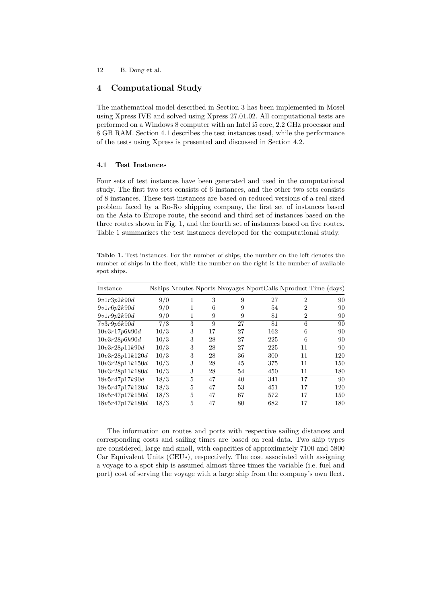## 4 Computational Study

The mathematical model described in Section 3 has been implemented in Mosel using Xpress IVE and solved using Xpress 27.01.02. All computational tests are performed on a Windows 8 computer with an Intel i5 core, 2.2 GHz processor and 8 GB RAM. Section 4.1 describes the test instances used, while the performance of the tests using Xpress is presented and discussed in Section 4.2.

#### 4.1 Test Instances

Four sets of test instances have been generated and used in the computational study. The first two sets consists of 6 instances, and the other two sets consists of 8 instances. These test instances are based on reduced versions of a real sized problem faced by a Ro-Ro shipping company, the first set of instances based on the Asia to Europe route, the second and third set of instances based on the three routes shown in Fig. 1, and the fourth set of instances based on five routes. Table 1 summarizes the test instances developed for the computational study.

Table 1. Test instances. For the number of ships, the number on the left denotes the number of ships in the fleet, while the number on the right is the number of available spot ships.

| Instance        |      |   |    |    |     |    |     |
|-----------------|------|---|----|----|-----|----|-----|
| 9v1r3p2k90d     | 9/0  | 1 | 3  | 9  | 27  | 2  | 90  |
| 9v1r6p2k90d     | 9/0  | 1 | 6  | 9  | 54  | 2  | 90  |
| 9v1r9p2k90d     | 9/0  | 1 | 9  | 9  | 81  | 2  | 90  |
| 7v3r9p6k90d     | 7/3  | 3 | 9  | 27 | 81  | 6  | 90  |
| 10v3r17p6k90d   | 10/3 | 3 | 17 | 27 | 162 | 6  | 90  |
| 10v3r28p6k90d   | 10/3 | 3 | 28 | 27 | 225 | 6  | 90  |
| 10v3r28p11k90d  | 10/3 | 3 | 28 | 27 | 225 | 11 | 90  |
| 10v3r28p11k120d | 10/3 | 3 | 28 | 36 | 300 | 11 | 120 |
| 10v3r28p11k150d | 10/3 | 3 | 28 | 45 | 375 | 11 | 150 |
| 10v3r28p11k180d | 10/3 | 3 | 28 | 54 | 450 | 11 | 180 |
| 18v5r47p17k90d  | 18/3 | 5 | 47 | 40 | 341 | 17 | 90  |
| 18v5r47p17k120d | 18/3 | 5 | 47 | 53 | 451 | 17 | 120 |
| 18v5r47p17k150d | 18/3 | 5 | 47 | 67 | 572 | 17 | 150 |
| 18v5r47p17k180d | 18/3 | 5 | 47 | 80 | 682 | 17 | 180 |

The information on routes and ports with respective sailing distances and corresponding costs and sailing times are based on real data. Two ship types are considered, large and small, with capacities of approximately 7100 and 5800 Car Equivalent Units (CEUs), respectively. The cost associated with assigning a voyage to a spot ship is assumed almost three times the variable (i.e. fuel and port) cost of serving the voyage with a large ship from the company's own fleet.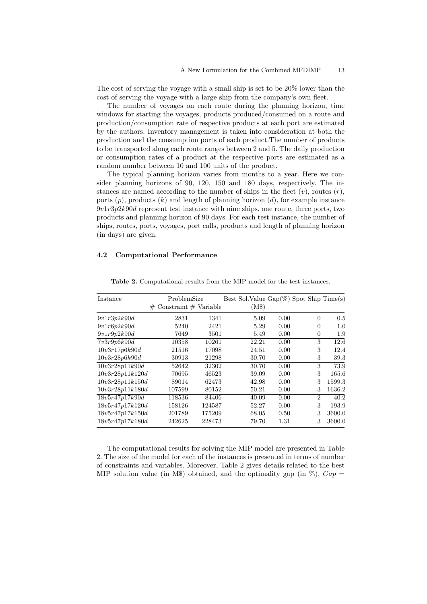The cost of serving the voyage with a small ship is set to be 20% lower than the cost of serving the voyage with a large ship from the company's own fleet.

The number of voyages on each route during the planning horizon, time windows for starting the voyages, products produced/consumed on a route and production/consumption rate of respective products at each port are estimated by the authors. Inventory management is taken into consideration at both the production and the consumption ports of each product.The number of products to be transported along each route ranges between 2 and 5. The daily production or consumption rates of a product at the respective ports are estimated as a random number between 10 and 100 units of the product.

The typical planning horizon varies from months to a year. Here we consider planning horizons of 90, 120, 150 and 180 days, respectively. The instances are named according to the number of ships in the fleet  $(v)$ , routes  $(r)$ , ports  $(p)$ , products  $(k)$  and length of planning horizon  $(d)$ , for example instance  $9v1r3p2k90d$  represent test instance with nine ships, one route, three ports, two products and planning horizon of 90 days. For each test instance, the number of ships, routes, ports, voyages, port calls, products and length of planning horizon (in days) are given.

#### 4.2 Computational Performance

| Instance        | ProblemSize                   |        | Best Sol. Value $Gap(\%)$ Spot Ship Time(s) |      |                |        |
|-----------------|-------------------------------|--------|---------------------------------------------|------|----------------|--------|
|                 | $\#$ Constraint $\#$ Variable |        | (M\$)                                       |      |                |        |
| 9v1r3p2k90d     | 2831                          | 1341   | 5.09                                        | 0.00 | $\Omega$       | 0.5    |
| 9v1r6p2k90d     | 5240                          | 2421   | 5.29                                        | 0.00 | $\Omega$       | 1.0    |
| 9v1r9p2k90d     | 7649                          | 3501   | 5.49                                        | 0.00 | $\theta$       | 1.9    |
| 7v3r9p6k90d     | 10358                         | 10261  | 22.21                                       | 0.00 | 3              | 12.6   |
| 10v3r17p6k90d   | 21516                         | 17098  | 24.51                                       | 0.00 | 3              | 12.4   |
| 10v3r28p6k90d   | 30913                         | 21298  | 30.70                                       | 0.00 | 3              | 39.3   |
| 10v3r28p11k90d  | 52642                         | 32302  | 30.70                                       | 0.00 | 3              | 73.9   |
| 10v3r28p11k120d | 70695                         | 46523  | 39.09                                       | 0.00 | 3              | 165.6  |
| 10v3r28p11k150d | 89014                         | 62473  | 42.98                                       | 0.00 | 3              | 1599.3 |
| 10v3r28p11k180d | 107599                        | 80152  | 50.21                                       | 0.00 | 3              | 1636.2 |
| 18v5r47p17k90d  | 118536                        | 84406  | 40.09                                       | 0.00 | $\overline{2}$ | 40.2   |
| 18v5r47p17k120d | 158126                        | 124587 | 52.27                                       | 0.00 | 3              | 193.9  |
| 18v5r47p17k150d | 201789                        | 175209 | 68.05                                       | 0.50 | 3              | 3600.0 |
| 18v5r47p17k180d | 242625                        | 228473 | 79.70                                       | 1.31 | 3              | 3600.0 |
|                 |                               |        |                                             |      |                |        |

Table 2. Computational results from the MIP model for the test instances.

The computational results for solving the MIP model are presented in Table 2. The size of the model for each of the instances is presented in terms of number of constraints and variables. Moreover, Table 2 gives details related to the best MIP solution value (in M\$) obtained, and the optimality gap (in  $\%$ ),  $Gap =$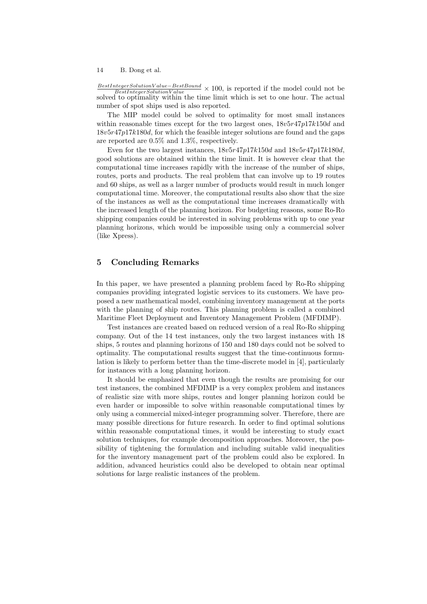$\frac{BestIntegerSolutionValue - BestBound}{BestIntegerSolutionValue} \times 100$ , is reported if the model could not be solved to optimality within the time limit which is set to one hour. The actual number of spot ships used is also reported.

The MIP model could be solved to optimality for most small instances within reasonable times except for the two largest ones,  $18v5r47p17k150d$  and  $18v5r47p17k180d$ , for which the feasible integer solutions are found and the gaps are reported are 0.5% and 1.3%, respectively.

Even for the two largest instances,  $18v5r47p17k150d$  and  $18v5r47p17k180d$ , good solutions are obtained within the time limit. It is however clear that the computational time increases rapidly with the increase of the number of ships, routes, ports and products. The real problem that can involve up to 19 routes and 60 ships, as well as a larger number of products would result in much longer computational time. Moreover, the computational results also show that the size of the instances as well as the computational time increases dramatically with the increased length of the planning horizon. For budgeting reasons, some Ro-Ro shipping companies could be interested in solving problems with up to one year planning horizons, which would be impossible using only a commercial solver (like Xpress).

# 5 Concluding Remarks

In this paper, we have presented a planning problem faced by Ro-Ro shipping companies providing integrated logistic services to its customers. We have proposed a new mathematical model, combining inventory management at the ports with the planning of ship routes. This planning problem is called a combined Maritime Fleet Deployment and Inventory Management Problem (MFDIMP).

Test instances are created based on reduced version of a real Ro-Ro shipping company. Out of the 14 test instances, only the two largest instances with 18 ships, 5 routes and planning horizons of 150 and 180 days could not be solved to optimality. The computational results suggest that the time-continuous formulation is likely to perform better than the time-discrete model in [4], particularly for instances with a long planning horizon.

It should be emphasized that even though the results are promising for our test instances, the combined MFDIMP is a very complex problem and instances of realistic size with more ships, routes and longer planning horizon could be even harder or impossible to solve within reasonable computational times by only using a commercial mixed-integer programming solver. Therefore, there are many possible directions for future research. In order to find optimal solutions within reasonable computational times, it would be interesting to study exact solution techniques, for example decomposition approaches. Moreover, the possibility of tightening the formulation and including suitable valid inequalities for the inventory management part of the problem could also be explored. In addition, advanced heuristics could also be developed to obtain near optimal solutions for large realistic instances of the problem.